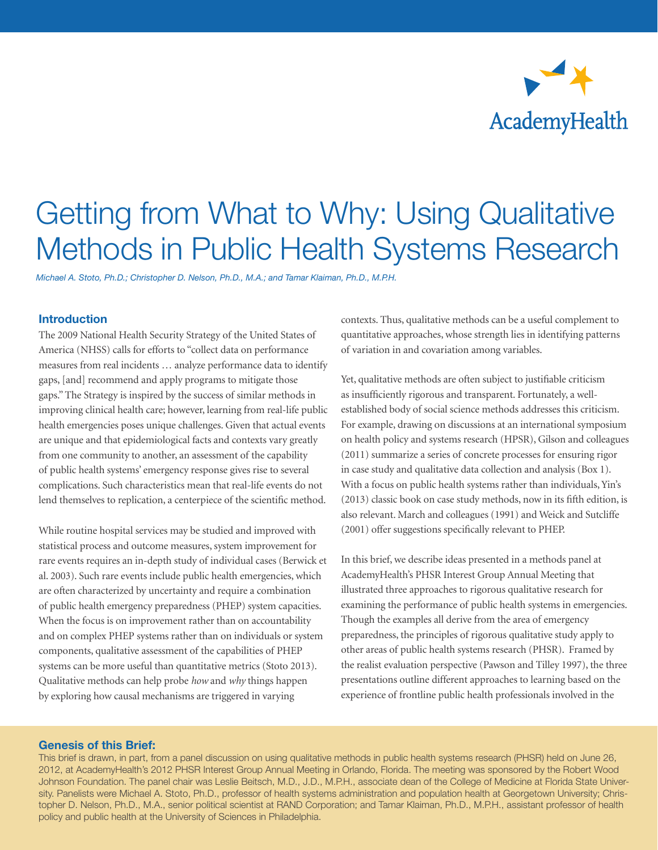

*Michael A. Stoto, Ph.D.; Christopher D. Nelson, Ph.D., M.A.; and Tamar Klaiman, Ph.D., M.P.H.*

#### **Introduction**

The 2009 [National Health Security Strategy of the United States of](http://www.phe.gov/Preparedness/planning/authority/nhss/Pages/default.aspx)  [America](http://www.phe.gov/Preparedness/planning/authority/nhss/Pages/default.aspx) (NHSS) calls for efforts to "collect data on performance measures from real incidents … analyze performance data to identify gaps, [and] recommend and apply programs to mitigate those gaps." The Strategy is inspired by the success of similar methods in improving clinical health care; however, learning from real-life public health emergencies poses unique challenges. Given that actual events are unique and that epidemiological facts and contexts vary greatly from one community to another, an assessment of the capability of public health systems' emergency response gives rise to several complications. Such characteristics mean that real-life events do not lend themselves to replication, a centerpiece of the scientific method.

While routine hospital services may be studied and improved with statistical process and outcome measures, system improvement for rare events requires an in-depth study of individual cases (Berwick et al. 2003). Such rare events include public health emergencies, which are often characterized by uncertainty and require a combination of public health emergency preparedness (PHEP) system capacities. When the focus is on improvement rather than on accountability and on complex PHEP systems rather than on individuals or system components, qualitative assessment of the capabilities of PHEP systems can be more useful than quantitative metrics (Stoto 2013). Qualitative methods can help probe *how* and *why* things happen by exploring how causal mechanisms are triggered in varying

contexts. Thus, qualitative methods can be a useful complement to quantitative approaches, whose strength lies in identifying patterns of variation in and covariation among variables.

Yet, qualitative methods are often subject to justifiable criticism as insufficiently rigorous and transparent. Fortunately, a wellestablished body of social science methods addresses this criticism. For example, drawing on discussions at an international symposium on health policy and systems research (HPSR), Gilson and colleagues (2011) summarize a series of concrete processes for ensuring rigor in case study and qualitative data collection and analysis (Box 1). With a focus on public health systems rather than individuals, Yin's (2013) classic book on case study methods, now in its fifth edition, is also relevant. March and colleagues (1991) and Weick and Sutcliffe (2001) offer suggestions specifically relevant to PHEP.

In this brief, we describe ideas presented in a methods panel at AcademyHealth's PHSR Interest Group Annual Meeting that illustrated three approaches to rigorous qualitative research for examining the performance of public health systems in emergencies. Though the examples all derive from the area of emergency preparedness, the principles of rigorous qualitative study apply to other areas of public health systems research (PHSR). Framed by the realist evaluation perspective (Pawson and Tilley 1997), the three presentations outline different approaches to learning based on the experience of frontline public health professionals involved in the

#### Genesis of this Brief:

1 topher D. Nelson, Ph.D., M.A., senior political scientist at RAND Corporation; and Tamar Klaiman, Ph.D., M.P.H., assistant professor of health This brief is drawn, in part, from a panel discussion on using qualitative methods in public health systems research (PHSR) held on June 26, 2012, at AcademyHealth's 2012 PHSR Interest Group Annual Meeting in Orlando, Florida. The meeting was sponsored by the Robert Wood Johnson Foundation. The panel chair was Leslie Beitsch, M.D., J.D., M.P.H., associate dean of the College of Medicine at Florida State University. Panelists were Michael A. Stoto, Ph.D., professor of health systems administration and population health at Georgetown University; Chrispolicy and public health at the University of Sciences in Philadelphia.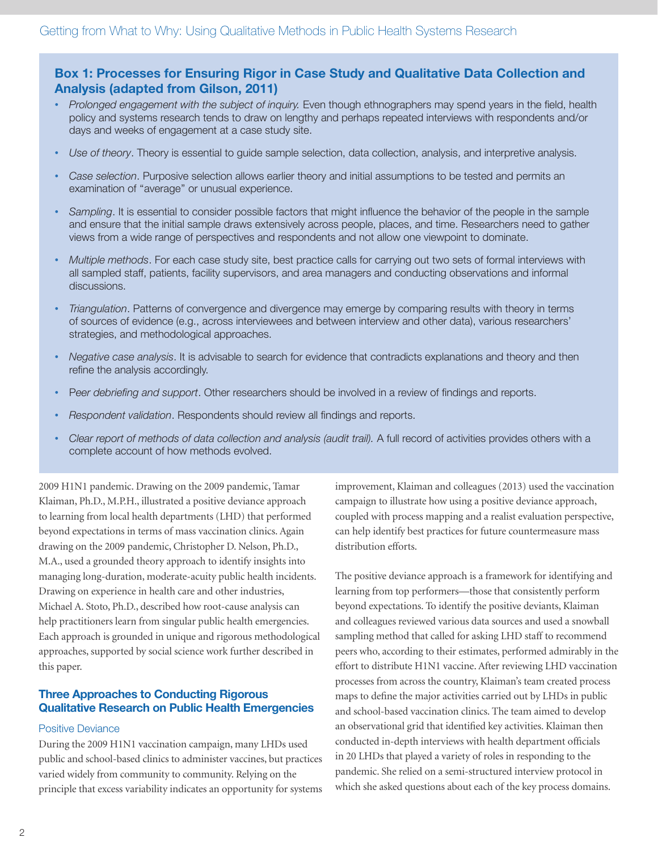# Box 1: Processes for Ensuring Rigor in Case Study and Qualitative Data Collection and Analysis (adapted from Gilson, 2011)

- *Prolonged engagement with the subject of inquiry.* Even though ethnographers may spend years in the field, health policy and systems research tends to draw on lengthy and perhaps repeated interviews with respondents and/or days and weeks of engagement at a case study site.
- *Use of theory*. Theory is essential to guide sample selection, data collection, analysis, and interpretive analysis.
- *Case selection*. Purposive selection allows earlier theory and initial assumptions to be tested and permits an examination of "average" or unusual experience.
- *Sampling*. It is essential to consider possible factors that might influence the behavior of the people in the sample and ensure that the initial sample draws extensively across people, places, and time. Researchers need to gather views from a wide range of perspectives and respondents and not allow one viewpoint to dominate.
- *Multiple methods*. For each case study site, best practice calls for carrying out two sets of formal interviews with all sampled staff, patients, facility supervisors, and area managers and conducting observations and informal discussions.
- *Triangulation*. Patterns of convergence and divergence may emerge by comparing results with theory in terms of sources of evidence (e.g., across interviewees and between interview and other data), various researchers' strategies, and methodological approaches.
- *Negative case analysis*. It is advisable to search for evidence that contradicts explanations and theory and then refine the analysis accordingly.
- P*eer debriefing and support*. Other researchers should be involved in a review of findings and reports.
- *Respondent validation*. Respondents should review all findings and reports.
- *Clear report of methods of data collection and analysis (audit trail).* A full record of activities provides others with a complete account of how methods evolved.

2009 H1N1 pandemic. Drawing on the 2009 pandemic, Tamar Klaiman, Ph.D., M.P.H., illustrated a positive deviance approach to learning from local health departments (LHD) that performed beyond expectations in terms of mass vaccination clinics. Again drawing on the 2009 pandemic, Christopher D. Nelson, Ph.D., M.A., used a grounded theory approach to identify insights into managing long-duration, moderate-acuity public health incidents. Drawing on experience in health care and other industries, Michael A. Stoto, Ph.D., described how root-cause analysis can help practitioners learn from singular public health emergencies. Each approach is grounded in unique and rigorous methodological approaches, supported by social science work further described in this paper.

## Three Approaches to Conducting Rigorous Qualitative Research on Public Health Emergencies

#### Positive Deviance

During the 2009 H1N1 vaccination campaign, many LHDs used public and school-based clinics to administer vaccines, but practices varied widely from community to community. Relying on the principle that excess variability indicates an opportunity for systems

improvement, Klaiman and colleagues (2013) used the vaccination campaign to illustrate how using a positive deviance approach, coupled with process mapping and a realist evaluation perspective, can help identify best practices for future countermeasure mass distribution efforts.

The positive deviance approach is a framework for identifying and learning from top performers—those that consistently perform beyond expectations. To identify the positive deviants, Klaiman and colleagues reviewed various data sources and used a snowball sampling method that called for asking LHD staff to recommend peers who, according to their estimates, performed admirably in the effort to distribute H1N1 vaccine. After reviewing LHD vaccination processes from across the country, Klaiman's team created process maps to define the major activities carried out by LHDs in public and school-based vaccination clinics. The team aimed to develop an observational grid that identified key activities. Klaiman then conducted in-depth interviews with health department officials in 20 LHDs that played a variety of roles in responding to the pandemic. She relied on a semi-structured interview protocol in which she asked questions about each of the key process domains.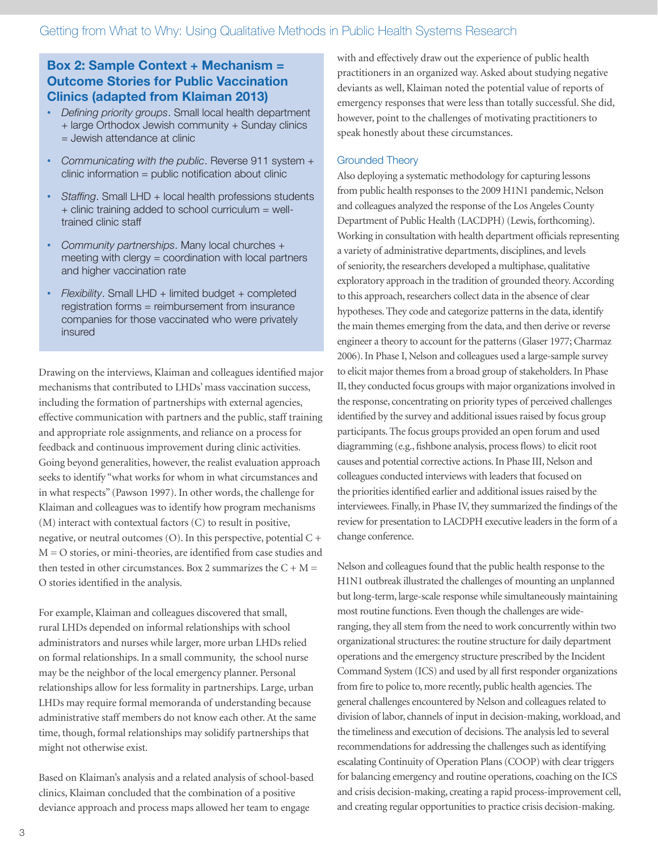# Box 2: Sample Context + Mechanism = Outcome Stories for Public Vaccination Clinics (adapted from Klaiman 2013)

- *Defining priority groups*. Small local health department + large Orthodox Jewish community + Sunday clinics = Jewish attendance at clinic
- *Communicating with the public*. Reverse 911 system + clinic information = public notification about clinic
- *Staffing*. Small LHD + local health professions students + clinic training added to school curriculum = welltrained clinic staff
- *Community partnerships*. Many local churches + meeting with clergy  $=$  coordination with local partners and higher vaccination rate
- *Flexibility*. Small LHD + limited budget + completed registration forms = reimbursement from insurance companies for those vaccinated who were privately insured

Drawing on the interviews, Klaiman and colleagues identified major mechanisms that contributed to LHDs' mass vaccination success, including the formation of partnerships with external agencies, effective communication with partners and the public, staff training and appropriate role assignments, and reliance on a process for feedback and continuous improvement during clinic activities. Going beyond generalities, however, the realist evaluation approach seeks to identify "what works for whom in what circumstances and in what respects" (Pawson 1997). In other words, the challenge for Klaiman and colleagues was to identify how program mechanisms (M) interact with contextual factors (C) to result in positive, negative, or neutral outcomes (O). In this perspective, potential  $C +$ M = O stories, or mini-theories, are identified from case studies and then tested in other circumstances. Box 2 summarizes the  $C + M =$ O stories identified in the analysis.

For example, Klaiman and colleagues discovered that small, rural LHDs depended on informal relationships with school administrators and nurses while larger, more urban LHDs relied on formal relationships. In a small community, the school nurse may be the neighbor of the local emergency planner. Personal relationships allow for less formality in partnerships. Large, urban LHDs may require formal memoranda of understanding because administrative staff members do not know each other. At the same time, though, formal relationships may solidify partnerships that might not otherwise exist.

Based on Klaiman's analysis and a related analysis of school-based clinics, Klaiman concluded that the combination of a positive deviance approach and process maps allowed her team to engage

with and effectively draw out the experience of public health practitioners in an organized way. Asked about studying negative deviants as well, Klaiman noted the potential value of reports of emergency responses that were less than totally successful. She did, however, point to the challenges of motivating practitioners to speak honestly about these circumstances.

#### Grounded Theory

Also deploying a systematic methodology for capturing lessons from public health responses to the 2009 H1N1 pandemic, Nelson and colleagues analyzed the response of the Los Angeles County Department of Public Health (LACDPH) (Lewis, forthcoming). Working in consultation with health department officials representing a variety of administrative departments, disciplines, and levels of seniority, the researchers developed a multiphase, qualitative exploratory approach in the tradition of grounded theory. According to this approach, researchers collect data in the absence of clear hypotheses. They code and categorize patterns in the data, identify the main themes emerging from the data, and then derive or reverse engineer a theory to account for the patterns (Glaser 1977; Charmaz 2006). In Phase I, Nelson and colleagues used a large-sample survey to elicit major themes from a broad group of stakeholders. In Phase II, they conducted focus groups with major organizations involved in the response, concentrating on priority types of perceived challenges identified by the survey and additional issues raised by focus group participants. The focus groups provided an open forum and used diagramming (e.g., fishbone analysis, process flows) to elicit root causes and potential corrective actions. In Phase III, Nelson and colleagues conducted interviews with leaders that focused on the priorities identified earlier and additional issues raised by the interviewees. Finally, in Phase IV, they summarized the findings of the review for presentation to LACDPH executive leaders in the form of a change conference.

Nelson and colleagues found that the public health response to the H1N1 outbreak illustrated the challenges of mounting an unplanned but long-term, large-scale response while simultaneously maintaining most routine functions. Even though the challenges are wideranging, they all stem from the need to work concurrently within two organizational structures: the routine structure for daily department operations and the emergency structure prescribed by the Incident Command System (ICS) and used by all first responder organizations from fire to police to, more recently, public health agencies. The general challenges encountered by Nelson and colleagues related to division of labor, channels of input in decision-making, workload, and the timeliness and execution of decisions. The analysis led to several recommendations for addressing the challenges such as identifying escalating Continuity of Operation Plans (COOP) with clear triggers for balancing emergency and routine operations, coaching on the ICS and crisis decision-making, creating a rapid process-improvement cell, and creating regular opportunities to practice crisis decision-making.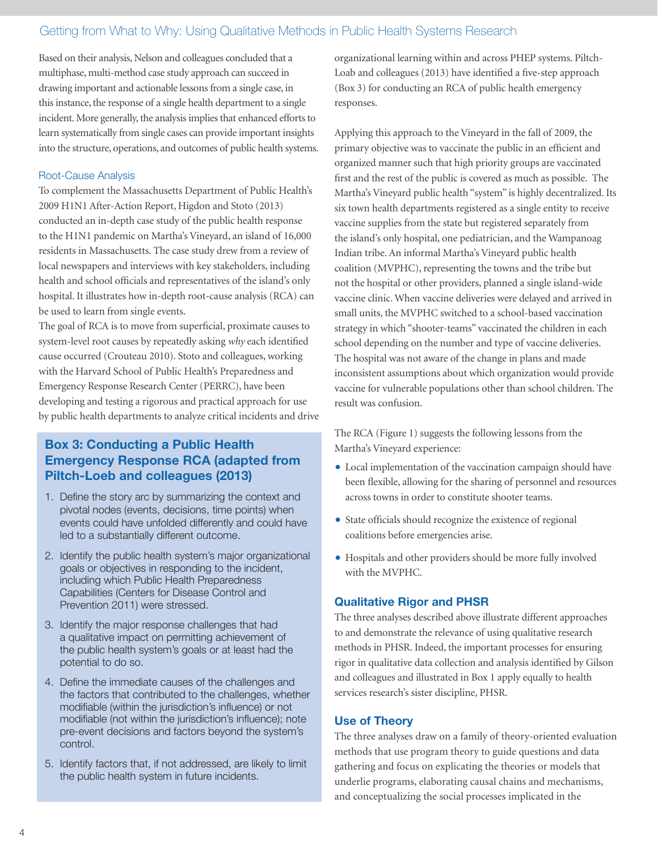Based on their analysis, Nelson and colleagues concluded that a multiphase, multi-method case study approach can succeed in drawing important and actionable lessons from a single case, in this instance, the response of a single health department to a single incident. More generally, the analysis implies that enhanced efforts to learn systematically from single cases can provide important insights into the structure, operations, and outcomes of public health systems.

#### Root-Cause Analysis

To complement the Massachusetts Department of Public Health's 2009 H1N1 After-Action Report, Higdon and Stoto (2013) conducted an in-depth case study of the public health response to the H1N1 pandemic on Martha's Vineyard, an island of 16,000 residents in Massachusetts. The case study drew from a review of local newspapers and interviews with key stakeholders, including health and school officials and representatives of the island's only hospital. It illustrates how in-depth root-cause analysis (RCA) can be used to learn from single events.

The goal of RCA is to move from superficial, proximate causes to system-level root causes by repeatedly asking *why* each identified cause occurred (Crouteau 2010). Stoto and colleagues, working with the Harvard School of Public Health's Preparedness and Emergency Response Research Center (PERRC), have been developing and testing a rigorous and practical approach for use by public health departments to analyze critical incidents and drive

# Box 3: Conducting a Public Health Emergency Response RCA (adapted from Piltch-Loeb and colleagues (2013)

- 1. Define the story arc by summarizing the context and pivotal nodes (events, decisions, time points) when events could have unfolded differently and could have led to a substantially different outcome.
- 2. Identify the public health system's major organizational goals or objectives in responding to the incident, including which Public Health Preparedness Capabilities (Centers for Disease Control and Prevention 2011) were stressed.
- 3. Identify the major response challenges that had a qualitative impact on permitting achievement of the public health system's goals or at least had the potential to do so.
- 4. Define the immediate causes of the challenges and the factors that contributed to the challenges, whether modifiable (within the jurisdiction's influence) or not modifiable (not within the jurisdiction's influence); note pre-event decisions and factors beyond the system's control.
- 5. Identify factors that, if not addressed, are likely to limit the public health system in future incidents.

organizational learning within and across PHEP systems. Piltch-Loab and colleagues (2013) have identified a five-step approach (Box 3) for conducting an RCA of public health emergency responses.

Applying this approach to the Vineyard in the fall of 2009, the primary objective was to vaccinate the public in an efficient and organized manner such that high priority groups are vaccinated first and the rest of the public is covered as much as possible. The Martha's Vineyard public health "system" is highly decentralized. Its six town health departments registered as a single entity to receive vaccine supplies from the state but registered separately from the island's only hospital, one pediatrician, and the Wampanoag Indian tribe. An informal Martha's Vineyard public health coalition (MVPHC), representing the towns and the tribe but not the hospital or other providers, planned a single island-wide vaccine clinic. When vaccine deliveries were delayed and arrived in small units, the MVPHC switched to a school-based vaccination strategy in which "shooter-teams" vaccinated the children in each school depending on the number and type of vaccine deliveries. The hospital was not aware of the change in plans and made inconsistent assumptions about which organization would provide vaccine for vulnerable populations other than school children. The result was confusion.

The RCA (Figure 1) suggests the following lessons from the Martha's Vineyard experience:

- Local implementation of the vaccination campaign should have been flexible, allowing for the sharing of personnel and resources across towns in order to constitute shooter teams.
- State officials should recognize the existence of regional coalitions before emergencies arise.
- Hospitals and other providers should be more fully involved with the MVPHC.

# Qualitative Rigor and PHSR

The three analyses described above illustrate different approaches to and demonstrate the relevance of using qualitative research methods in PHSR. Indeed, the important processes for ensuring rigor in qualitative data collection and analysis identified by Gilson and colleagues and illustrated in Box 1 apply equally to health services research's sister discipline, PHSR.

## Use of Theory

The three analyses draw on a family of theory-oriented evaluation methods that use program theory to guide questions and data gathering and focus on explicating the theories or models that underlie programs, elaborating causal chains and mechanisms, and conceptualizing the social processes implicated in the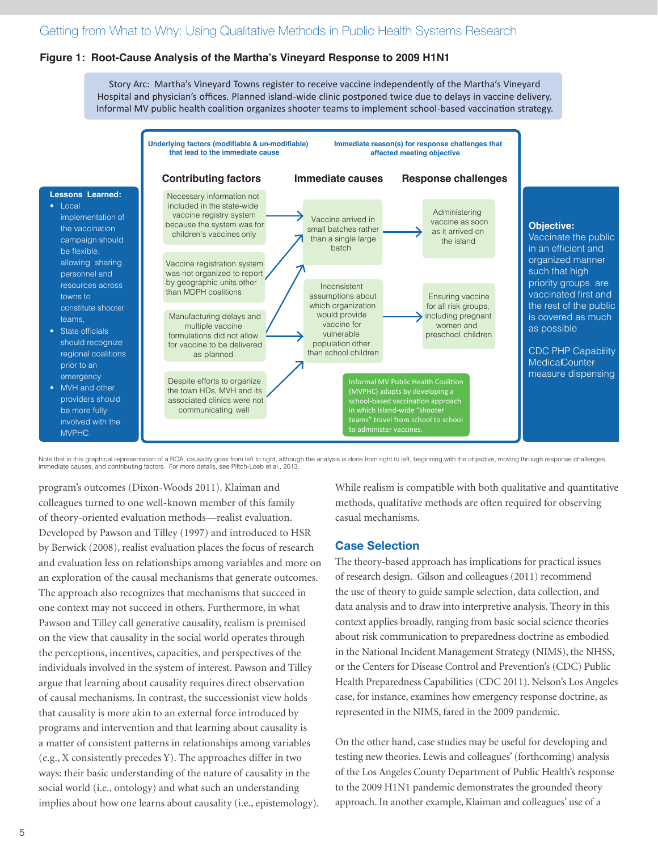#### **Figure 1: Root-Cause Analysis of the Martha's Vineyard Response to 2009 H1N1**

Story Arc: Martha's Vineyard Towns register to receive vaccine independently of the Martha's Vineyard Hospital and physician's offices. Planned island-wide clinic postponed twice due to delays in vaccine delivery. Informal MV public health coalition organizes shooter teams to implement school-based vaccination strategy.



Note that in this graphical representation of a RCA, causality goes from left to right, although the analysis is done from right to left, beginning with the objective, moving through response challenges, immediate causes, and contributing factors. For more details, see Piltch-Loeb et al., 2013.

program's outcomes (Dixon-Woods 2011). Klaiman and colleagues turned to one well-known member of this family of theory-oriented evaluation methods—realist evaluation. Developed by Pawson and Tilley (1997) and introduced to HSR by Berwick (2008), realist evaluation places the focus of research and evaluation less on relationships among variables and more on an exploration of the causal mechanisms that generate outcomes. The approach also recognizes that mechanisms that succeed in one context may not succeed in others. Furthermore, in what Pawson and Tilley call generative causality, realism is premised on the view that causality in the social world operates through the perceptions, incentives, capacities, and perspectives of the individuals involved in the system of interest. Pawson and Tilley argue that learning about causality requires direct observation of causal mechanisms. In contrast, the successionist view holds that causality is more akin to an external force introduced by programs and intervention and that learning about causality is a matter of consistent patterns in relationships among variables (e.g., X consistently precedes Y). The approaches differ in two ways: their basic understanding of the nature of causality in the social world (i.e., ontology) and what such an understanding implies about how one learns about causality (i.e., epistemology).

While realism is compatible with both qualitative and quantitative methods, qualitative methods are often required for observing casual mechanisms.

#### Case Selection

The theory-based approach has implications for practical issues of research design. Gilson and colleagues (2011) recommend the use of theory to guide sample selection, data collection, and data analysis and to draw into interpretive analysis. Theory in this context applies broadly, ranging from basic social science theories about risk communication to preparedness doctrine as embodied in the National Incident Management Strategy (NIMS), the NHSS, or the Centers for Disease Control and Prevention's (CDC) Public Health Preparedness Capabilities (CDC 2011). Nelson's Los Angeles case, for instance, examines how emergency response doctrine, as represented in the NIMS, fared in the 2009 pandemic.

On the other hand, case studies may be useful for developing and testing new theories. Lewis and colleagues' (forthcoming) analysis of the Los Angeles County Department of Public Health's response to the 2009 H1N1 pandemic demonstrates the grounded theory approach. In another example, Klaiman and colleagues' use of a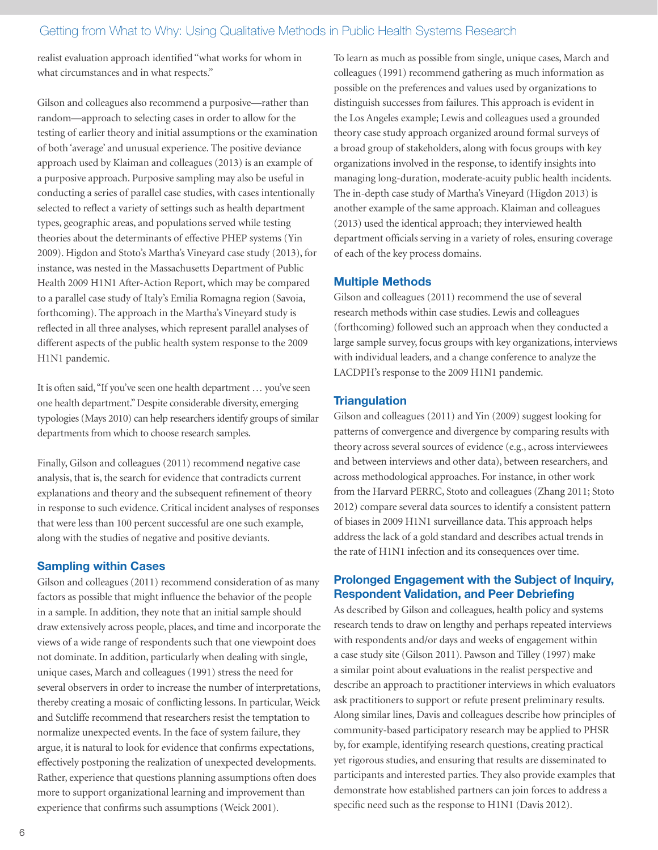realist evaluation approach identified "what works for whom in what circumstances and in what respects."

Gilson and colleagues also recommend a purposive—rather than random—approach to selecting cases in order to allow for the testing of earlier theory and initial assumptions or the examination of both 'average' and unusual experience. The positive deviance approach used by Klaiman and colleagues (2013) is an example of a purposive approach. Purposive sampling may also be useful in conducting a series of parallel case studies, with cases intentionally selected to reflect a variety of settings such as health department types, geographic areas, and populations served while testing theories about the determinants of effective PHEP systems (Yin 2009). Higdon and Stoto's Martha's Vineyard case study (2013), for instance, was nested in the Massachusetts Department of Public Health 2009 H1N1 After-Action Report, which may be compared to a parallel case study of Italy's Emilia Romagna region (Savoia, forthcoming). The approach in the Martha's Vineyard study is reflected in all three analyses, which represent parallel analyses of different aspects of the public health system response to the 2009 H1N1 pandemic.

It is often said, "If you've seen one health department … you've seen one health department." Despite considerable diversity, emerging typologies (Mays 2010) can help researchers identify groups of similar departments from which to choose research samples.

Finally, Gilson and colleagues (2011) recommend negative case analysis, that is, the search for evidence that contradicts current explanations and theory and the subsequent refinement of theory in response to such evidence. Critical incident analyses of responses that were less than 100 percent successful are one such example, along with the studies of negative and positive deviants.

# Sampling within Cases

Gilson and colleagues (2011) recommend consideration of as many factors as possible that might influence the behavior of the people in a sample. In addition, they note that an initial sample should draw extensively across people, places, and time and incorporate the views of a wide range of respondents such that one viewpoint does not dominate. In addition, particularly when dealing with single, unique cases, March and colleagues (1991) stress the need for several observers in order to increase the number of interpretations, thereby creating a mosaic of conflicting lessons. In particular, Weick and Sutcliffe recommend that researchers resist the temptation to normalize unexpected events. In the face of system failure, they argue, it is natural to look for evidence that confirms expectations, effectively postponing the realization of unexpected developments. Rather, experience that questions planning assumptions often does more to support organizational learning and improvement than experience that confirms such assumptions (Weick 2001).

To learn as much as possible from single, unique cases, March and colleagues (1991) recommend gathering as much information as possible on the preferences and values used by organizations to distinguish successes from failures. This approach is evident in the Los Angeles example; Lewis and colleagues used a grounded theory case study approach organized around formal surveys of a broad group of stakeholders, along with focus groups with key organizations involved in the response, to identify insights into managing long-duration, moderate-acuity public health incidents. The in-depth case study of Martha's Vineyard (Higdon 2013) is another example of the same approach. Klaiman and colleagues (2013) used the identical approach; they interviewed health department officials serving in a variety of roles, ensuring coverage of each of the key process domains.

## Multiple Methods

Gilson and colleagues (2011) recommend the use of several research methods within case studies. Lewis and colleagues (forthcoming) followed such an approach when they conducted a large sample survey, focus groups with key organizations, interviews with individual leaders, and a change conference to analyze the LACDPH's response to the 2009 H1N1 pandemic.

## **Triangulation**

Gilson and colleagues (2011) and Yin (2009) suggest looking for patterns of convergence and divergence by comparing results with theory across several sources of evidence (e.g., across interviewees and between interviews and other data), between researchers, and across methodological approaches. For instance, in other work from the Harvard PERRC, Stoto and colleagues (Zhang 2011; Stoto 2012) compare several data sources to identify a consistent pattern of biases in 2009 H1N1 surveillance data. This approach helps address the lack of a gold standard and describes actual trends in the rate of H1N1 infection and its consequences over time.

## Prolonged Engagement with the Subject of Inquiry, Respondent Validation, and Peer Debriefing

As described by Gilson and colleagues, health policy and systems research tends to draw on lengthy and perhaps repeated interviews with respondents and/or days and weeks of engagement within a case study site (Gilson 2011). Pawson and Tilley (1997) make a similar point about evaluations in the realist perspective and describe an approach to practitioner interviews in which evaluators ask practitioners to support or refute present preliminary results. Along similar lines, Davis and colleagues describe how principles of community-based participatory research may be applied to PHSR by, for example, identifying research questions, creating practical yet rigorous studies, and ensuring that results are disseminated to participants and interested parties. They also provide examples that demonstrate how established partners can join forces to address a specific need such as the response to H1N1 (Davis 2012).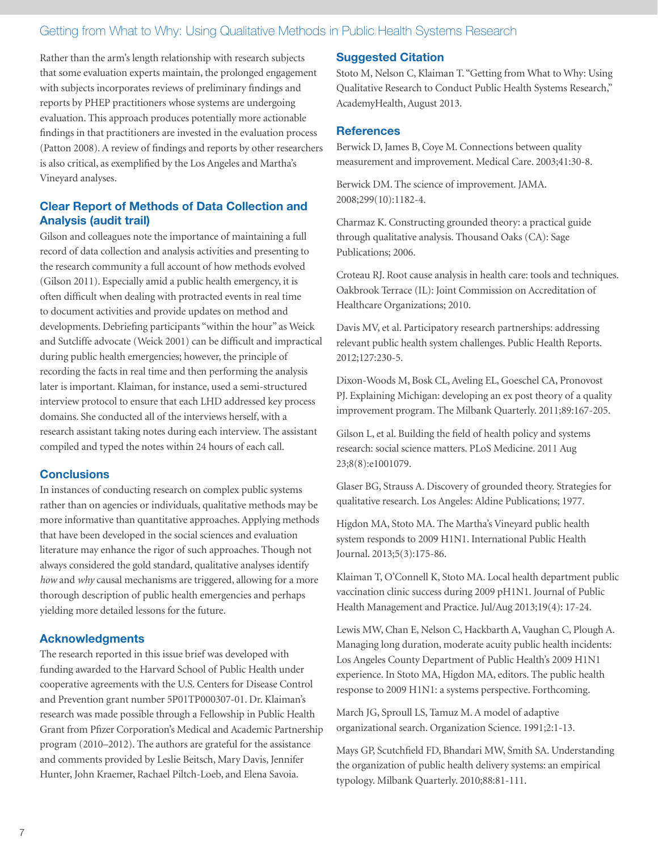Rather than the arm's length relationship with research subjects that some evaluation experts maintain, the prolonged engagement with subjects incorporates reviews of preliminary findings and reports by PHEP practitioners whose systems are undergoing evaluation. This approach produces potentially more actionable findings in that practitioners are invested in the evaluation process (Patton 2008). A review of findings and reports by other researchers is also critical, as exemplified by the Los Angeles and Martha's Vineyard analyses.

# Clear Report of Methods of Data Collection and Analysis (audit trail)

Gilson and colleagues note the importance of maintaining a full record of data collection and analysis activities and presenting to the research community a full account of how methods evolved (Gilson 2011). Especially amid a public health emergency, it is often difficult when dealing with protracted events in real time to document activities and provide updates on method and developments. Debriefing participants "within the hour" as Weick and Sutcliffe advocate (Weick 2001) can be difficult and impractical during public health emergencies; however, the principle of recording the facts in real time and then performing the analysis later is important. Klaiman, for instance, used a semi-structured interview protocol to ensure that each LHD addressed key process domains. She conducted all of the interviews herself, with a research assistant taking notes during each interview. The assistant compiled and typed the notes within 24 hours of each call.

## **Conclusions**

In instances of conducting research on complex public systems rather than on agencies or individuals, qualitative methods may be more informative than quantitative approaches. Applying methods that have been developed in the social sciences and evaluation literature may enhance the rigor of such approaches. Though not always considered the gold standard, qualitative analyses identify *how* and *why* causal mechanisms are triggered, allowing for a more thorough description of public health emergencies and perhaps yielding more detailed lessons for the future.

# Acknowledgments

The research reported in this issue brief was developed with funding awarded to the Harvard School of Public Health under cooperative agreements with the U.S. Centers for Disease Control and Prevention grant number 5P01TP000307-01. Dr. Klaiman's research was made possible through a Fellowship in Public Health Grant from Pfizer Corporation's Medical and Academic Partnership program (2010–2012). The authors are grateful for the assistance and comments provided by Leslie Beitsch, Mary Davis, Jennifer Hunter, John Kraemer, Rachael Piltch-Loeb, and Elena Savoia.

## Suggested Citation

Stoto M, Nelson C, Klaiman T. "Getting from What to Why: Using Qualitative Research to Conduct Public Health Systems Research," AcademyHealth, August 2013.

## **References**

Berwick D, James B, Coye M. Connections between quality measurement and improvement. Medical Care. 2003;41:30-8.

Berwick DM. The science of improvement. JAMA. 2008;299(10):1182-4.

Charmaz K. Constructing grounded theory: a practical guide through qualitative analysis. Thousand Oaks (CA): Sage Publications; 2006.

Croteau RJ. Root cause analysis in health care: tools and techniques. Oakbrook Terrace (IL): Joint Commission on Accreditation of Healthcare Organizations; 2010.

Davis MV, et al. Participatory research partnerships: addressing relevant public health system challenges. Public Health Reports. 2012;127:230-5.

Dixon-Woods M, Bosk CL, Aveling EL, Goeschel CA, Pronovost PJ. Explaining Michigan: developing an ex post theory of a quality improvement program. The Milbank Quarterly. 2011;89:167-205.

Gilson L, et al. Building the field of health policy and systems research: social science matters. PLoS Medicine. 2011 Aug 23;8(8):e1001079.

Glaser BG, Strauss A. Discovery of grounded theory. Strategies for qualitative research. Los Angeles: Aldine Publications; 1977.

Higdon MA, Stoto MA. The Martha's Vineyard public health system responds to 2009 H1N1. International Public Health Journal. 2013;5(3):175-86.

Klaiman T, O'Connell K, Stoto MA. Local health department public vaccination clinic success during 2009 pH1N1. Journal of Public Health Management and Practice. Jul/Aug 2013;19(4): 17-24.

Lewis MW, Chan E, Nelson C, Hackbarth A, Vaughan C, Plough A. Managing long duration, moderate acuity public health incidents: Los Angeles County Department of Public Health's 2009 H1N1 experience. In Stoto MA, Higdon MA, editors. The public health response to 2009 H1N1: a systems perspective. Forthcoming.

March JG, Sproull LS, Tamuz M. A model of adaptive organizational search. Organization Science. 1991;2:1-13.

Mays GP, Scutchfield FD, Bhandari MW, Smith SA. Understanding the organization of public health delivery systems: an empirical typology. Milbank Quarterly. 2010;88:81-111.